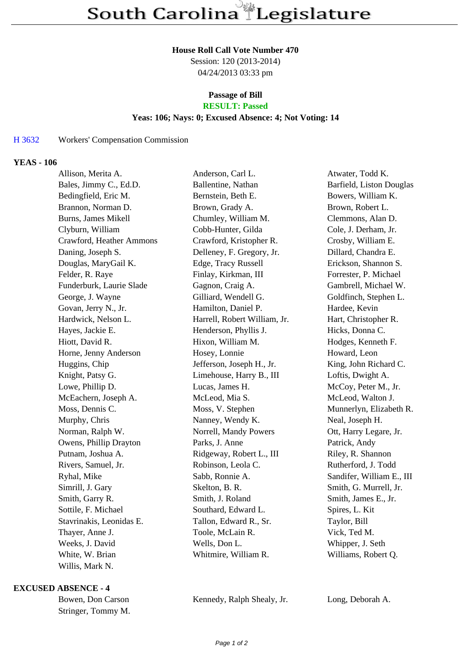#### **House Roll Call Vote Number 470**

Session: 120 (2013-2014) 04/24/2013 03:33 pm

# **Passage of Bill**

# **RESULT: Passed**

## **Yeas: 106; Nays: 0; Excused Absence: 4; Not Voting: 14**

### H 3632 Workers' Compensation Commission

### **YEAS - 106**

| Allison, Merita A.         | Anderson, Carl L.            | Atwater, Todd K.          |
|----------------------------|------------------------------|---------------------------|
| Bales, Jimmy C., Ed.D.     | Ballentine, Nathan           | Barfield, Liston Douglas  |
| Bedingfield, Eric M.       | Bernstein, Beth E.           | Bowers, William K.        |
| Brannon, Norman D.         | Brown, Grady A.              | Brown, Robert L.          |
| <b>Burns, James Mikell</b> | Chumley, William M.          | Clemmons, Alan D.         |
| Clyburn, William           | Cobb-Hunter, Gilda           | Cole, J. Derham, Jr.      |
| Crawford, Heather Ammons   | Crawford, Kristopher R.      | Crosby, William E.        |
| Daning, Joseph S.          | Delleney, F. Gregory, Jr.    | Dillard, Chandra E.       |
| Douglas, MaryGail K.       | Edge, Tracy Russell          | Erickson, Shannon S.      |
| Felder, R. Raye            | Finlay, Kirkman, III         | Forrester, P. Michael     |
| Funderburk, Laurie Slade   | Gagnon, Craig A.             | Gambrell, Michael W.      |
| George, J. Wayne           | Gilliard, Wendell G.         | Goldfinch, Stephen L.     |
| Govan, Jerry N., Jr.       | Hamilton, Daniel P.          | Hardee, Kevin             |
| Hardwick, Nelson L.        | Harrell, Robert William, Jr. | Hart, Christopher R.      |
| Hayes, Jackie E.           | Henderson, Phyllis J.        | Hicks, Donna C.           |
| Hiott, David R.            | Hixon, William M.            | Hodges, Kenneth F.        |
| Horne, Jenny Anderson      | Hosey, Lonnie                | Howard, Leon              |
| Huggins, Chip              | Jefferson, Joseph H., Jr.    | King, John Richard C.     |
| Knight, Patsy G.           | Limehouse, Harry B., III     | Loftis, Dwight A.         |
| Lowe, Phillip D.           | Lucas, James H.              | McCoy, Peter M., Jr.      |
| McEachern, Joseph A.       | McLeod, Mia S.               | McLeod, Walton J.         |
| Moss, Dennis C.            | Moss, V. Stephen             | Munnerlyn, Elizabeth R.   |
| Murphy, Chris              | Nanney, Wendy K.             | Neal, Joseph H.           |
| Norman, Ralph W.           | Norrell, Mandy Powers        | Ott, Harry Legare, Jr.    |
| Owens, Phillip Drayton     | Parks, J. Anne               | Patrick, Andy             |
| Putnam, Joshua A.          | Ridgeway, Robert L., III     | Riley, R. Shannon         |
| Rivers, Samuel, Jr.        | Robinson, Leola C.           | Rutherford, J. Todd       |
| Ryhal, Mike                | Sabb, Ronnie A.              | Sandifer, William E., III |
| Simrill, J. Gary           | Skelton, B. R.               | Smith, G. Murrell, Jr.    |
| Smith, Garry R.            | Smith, J. Roland             | Smith, James E., Jr.      |
| Sottile, F. Michael        | Southard, Edward L.          | Spires, L. Kit            |
| Stavrinakis, Leonidas E.   | Tallon, Edward R., Sr.       | Taylor, Bill              |
| Thayer, Anne J.            | Toole, McLain R.             | Vick, Ted M.              |
| Weeks, J. David            | Wells, Don L.                | Whipper, J. Seth          |
| White, W. Brian            | Whitmire, William R.         | Williams, Robert Q.       |
| Willis, Mark N.            |                              |                           |

#### **EXCUSED ABSENCE - 4**

Stringer, Tommy M.

Bowen, Don Carson Kennedy, Ralph Shealy, Jr. Long, Deborah A.